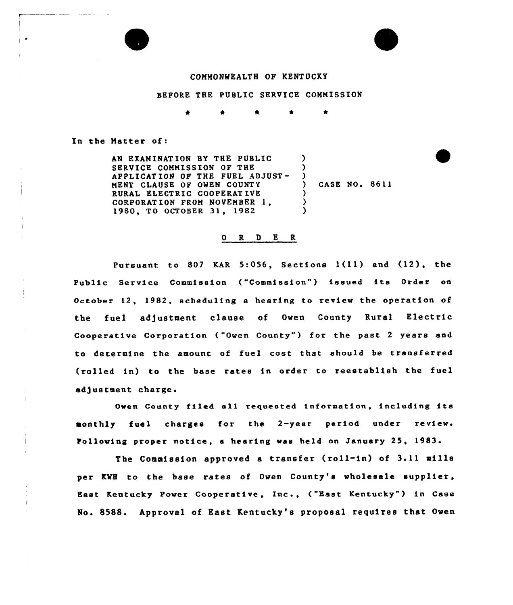#### COMMONWEALTH OF KENTUCKY

### BEFORE THE PUBLIC SERVICE COMMISSION

In the Matter of:

AN EXAMINATION BY THE PUBLIC SERVICE COMMISSION OF THE APPLICATION OF THE FUEL ADJUST-MENT CLAUSE OF OWEN COUNTY RURAL ELECTRIC COOPERAT IVE CORPORATION FROM NOVEMBER 1, 1980, TQ OCTOBER 31, 1982 ) ) ) ) CASE NO. 8611 ) ) )

# 0 R <sup>D</sup> E R

Pursuant to 807 KAR 5:056, Sections l(11) and (12), the Public Service Commission ("Commission") issued its Order on October 12, 1982, scheduling a hearing to review the operation of the fuel adjustment clause of Owen County Rural Electric Cooperative Corporation ("Owen County" ) for the past <sup>2</sup> years and to determine the amount of fuel cost that should be transferred (rolled in) to the base rates in order to reestablish the fuel adjustment charge.

Owen County filed all requested information, including its monthly fuel charges for the 2-year period under review. Following proper notice, a hearing was held on January 25, 1983.

The Commission approved a transfer (roll-in) of 3.11 mills per KWH to the base rates of Owen County's wholesale supplier, East Kentucky Power Cooperative, Inc., ("East Kentucky" ) in Case No. 85SS. Approval of East Kentucky's proposal requires that Owen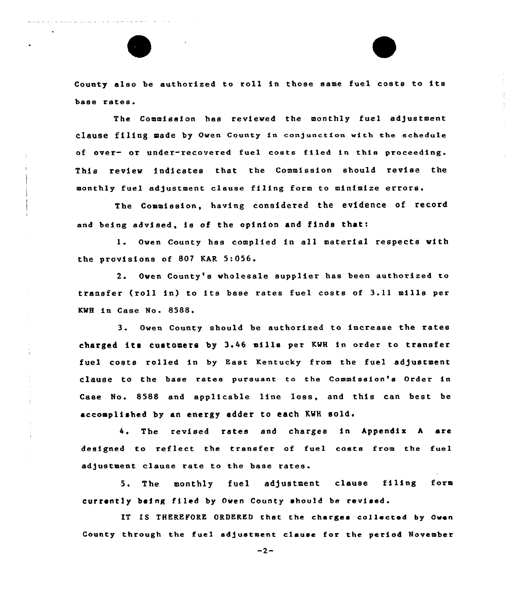County also be authorized to roll in those same fuel costs to its base rates.

The Commission has reviewed the monthly fuel adjustment clause filing made by Owen County in conjuaction with the schedule of over- or under-recovered fuel costs filed in this proceeding. This review indicates that the Commission should revise the monthly fuel adjustment clause filing form to minimize errors.

The Commission, having considered the evidence of record and being advised, is of the opinion and finds that:

1. Owen County hae complied in all material respects with the provisions of 807 KAR 5:056.

2. Owen County's wholesale supplier has been authorized to transfer (roll in) to ite base rates fuel costs of 3.11 mills per KWH in Case No. 8588.

3. Owen County should be authorized to increase the rates charged its customers by 3.46 mills per KWH in order to transfer fuel costs rolled in by East Kentucky from the fuel adjustment clause to the base rates pursuant to the Commission'e Order in Case No. 8588 and applicable line loss, and this can best be accomplished by an energy adder to each KWH sold.

4. The revised rates and charges in Appendix A are designed to reflect the transfet of fuel costs from the fuel adjustment clause rate to the base rates.

5. The monthly fuel adjustment clause filing form currently being filed by Owen County should be revised.

IT IS THEREFORE ORDERED that the charges collected by Owen County through the fuel adjustment clause for the period November

 $-2-$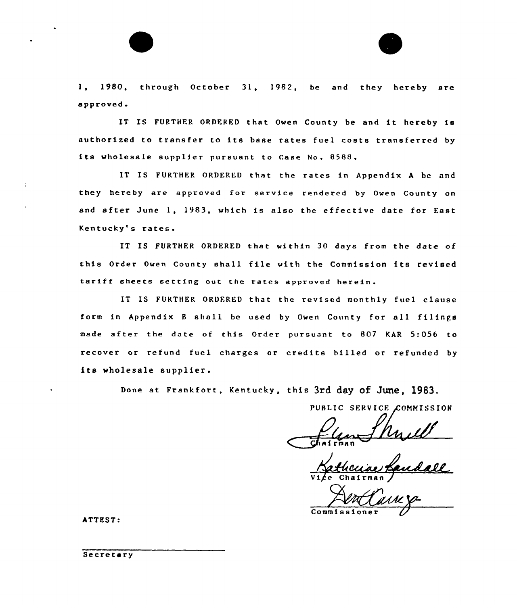1, 1980, through October 31, 1982, be and they hereby are approved.

IT IS FURTHER ORDERED that Owen County be and it hereby is authorized to transfer to its base rates fuel costs transferred by its wholesale supplier pursuant to Case No. 8588.

IT IS FURTHER ORDERED that the rates in Appendix A be and they hereby are approved for service rendered by Owen County on and after June 1, 1983, which is also the effective date for East Kentucky's rates.

IT IS FURTHER ORDERED that within 30 days from the date of this Order Owen County shall file with the Commission its revised tariff sheets setting out the rates approved herein.

IT IS FURTHER ORDERED that the revised monthly fuel clause form in Appendix <sup>8</sup> shall be used by Owen County for a11 filings made after the date of this Order pursuant to 807 KAR 5:056 to recover or refund fuel charges or credits billed or refunded by its wholesale supplier.

Done at Frankfort, Kentucky, this 3rd day Of June, 1983.

PUBLIC SERVICE COMMISSION

ma n

Katheciae

Commissioner

ATTEST:

Secretary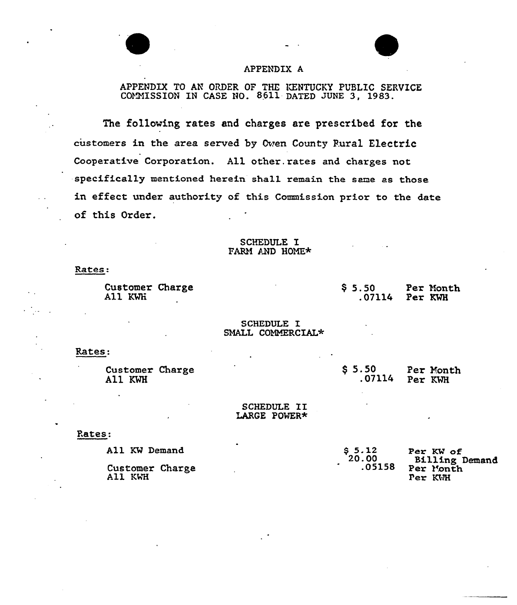## APPENDIX A

APPENDIX TO AN ORDER OF THE KENTUCKY PUBLIC SERVICE COMMISSION IN CASE NO. 8611 DATED JUNE 3, 1983.

The following rates and charges are prescribed for the customers in the area served by Cven County Pural Electric Cooperative Corporation. All other. rates and charges not specifically mentioned herein sha11 remain the same as those in effect under authority of this Commission prior to the date of this Order.

### SCHEDULE I FARM AND HOME\*

Rates:

Customer Charge All KWH

\$ 5.50 Per Month<br>.07114 Per KWH Per KWH

### SCHEDULE I SMALL COMMERCIAL\*

# Rates:

| Customer Charge<br>All KWH | \$5.50 | Per Month<br>$.07114$ Per KWH |
|----------------------------|--------|-------------------------------|
|                            |        |                               |

# SCHEDULE II<br>LARGE POWER\*

### Rates:

| All KW Demand              | $$5.12$<br>$20.00$ | Per KW of                                     |  |
|----------------------------|--------------------|-----------------------------------------------|--|
| Customer Charge<br>All KWH | .05158             | <b>Billing Demand</b><br>Per Month<br>Per KWH |  |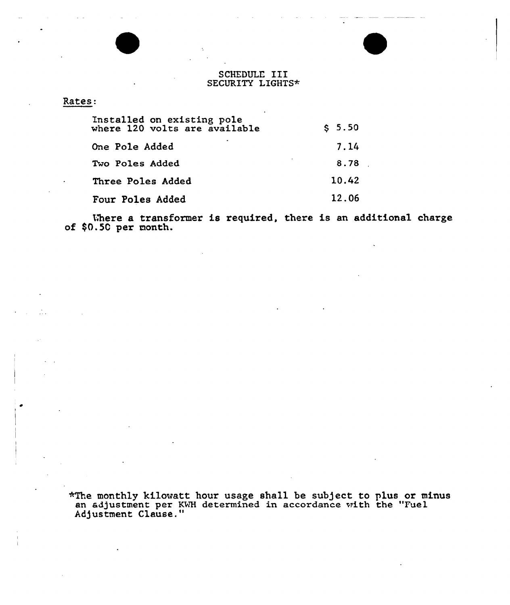### SCHEDULE III SECURITY LIGHTS\*

## Rates:

| Installed on existing pole<br>where 120 volts are available | \$5.50 |
|-------------------------------------------------------------|--------|
| One Pole Added                                              | 7.14   |
| Two Poles Added                                             | 8.78   |
| Three Poles Added                                           | 10.42  |
| Four Poles Added                                            | 12.06  |

Where a transformer is required, there is an additional charge of \$0.50 per nonth.

\*The monthly kilowatt hour usage shall be subject to plus or minu an adjustment per KWH determined in accordance with the "Fuel Ad)ustment Clause."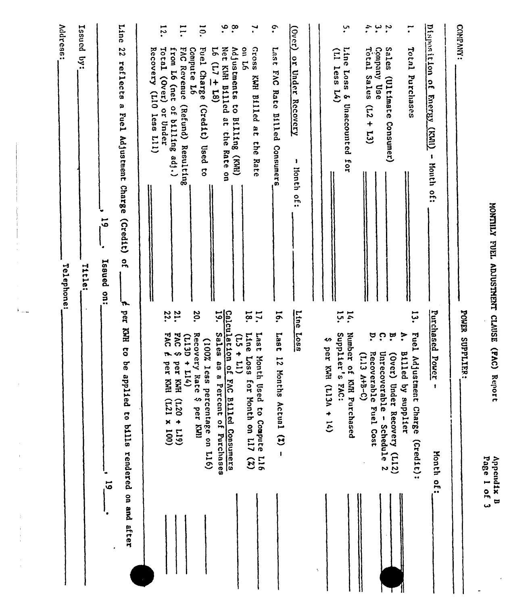| <b>Address:</b><br>Telephone: | Issued by:<br>Title: | Line<br>22<br>reflects a Fuel Adjustment Charge (Credit) of<br>$\overline{6}$<br>Issued on: | $\mathbf{e}$<br>Disposition of Energy (KAII) - Month of:<br>COMPANY:<br>۹.<br>$\cdot^{\infty}$<br>12.<br>$\ddot{\cdot}$<br>$\ddot{\phantom{0}}$<br>$\overline{1}$<br>$\overline{5}$<br>ِس<br>•<br>$\mathbf{r}$<br>7,<br>(Over) or Under Recovery<br>ssozy<br>FAC Revenue (Refund) Resulting<br>$16(17 + 18)$<br>Net KWH Billed at the Rate on<br><b>Oul L6</b><br>1su <sub>1</sub><br>Total Sales<br>Conpany Use<br>Sales (Ultimate Consumer)<br>Total Purchases<br>Total (Over) or Under<br>Fuel Charge (Credit) Used to<br>Adjustments to Billing (KWH)<br>Line Loss & Unaccounted<br>Recovery (L10 less L11)<br>from L6 (net of billing adj.)<br>Compute 16<br>$(11)$ less $14)$<br>FAC Rate Billed Consumers<br>KWH Billed at<br>$(53 + 13)$<br><b>the</b><br>Rate<br>for<br>J<br>lionth of:<br>POWER SUPPLIFIER:<br><b>Line</b><br>Purchased Power<br>14.<br>21.<br>22.<br>20.<br>$\ddot{\circ}$<br>پ<br>نبا<br>Ιá.<br>$\mathbf{I}$<br>$\overline{5}$<br><b>Loss</b><br>FAC E<br>1887<br>504<br>Recovery Rate<br>Supplier's FAC:<br>ະັ<br>Line<br>္<br>ុច<br>रं<br>$(15 + 11)$<br>$(113D + 114)$<br>€<br>(100% less<br><b>Loss</b> |  |
|-------------------------------|----------------------|---------------------------------------------------------------------------------------------|-----------------------------------------------------------------------------------------------------------------------------------------------------------------------------------------------------------------------------------------------------------------------------------------------------------------------------------------------------------------------------------------------------------------------------------------------------------------------------------------------------------------------------------------------------------------------------------------------------------------------------------------------------------------------------------------------------------------------------------------------------------------------------------------------------------------------------------------------------------------------------------------------------------------------------------------------------------------------------------------------------------------------------------------------------------------------------------------------------------------------------------------|--|
|                               |                      | A per KWH to be applied to bills rendered on and after<br>ت<br>آھ                           | Calculation of FAC Billed Consumers<br>Sales as a Percent of Purchases<br>Fuel Adjustment Charge<br>Last Month Used to Compute L16<br>Number of KNR Purchased<br>per KWH (L13A + 14)<br>(Over) Under Recovery (L12)<br>Unrecoverable - Schedule 2<br>Recoverable Fuel Cost<br>Billed by supplier<br>$(1.13 A+B-C)$<br>12 Months Actual (X)<br>per KWH<br>per KMI<br>for Month on L17 (%)<br>$\mathbf{I}$<br>percentage on L16)<br>$\ddot{\phantom{0}}$<br>$(617 + 027)$<br>$(001 \times 127)$<br>per KWI<br>(Cred1t):<br>Month of:<br>۰.                                                                                                                                                                                                                                                                                                                                                                                                                                                                                                                                                                                                |  |

 $\hat{V}_{\rm{new}}$ 

÷,

0 ID O l K,  $\overline{9}$ 

DD

k,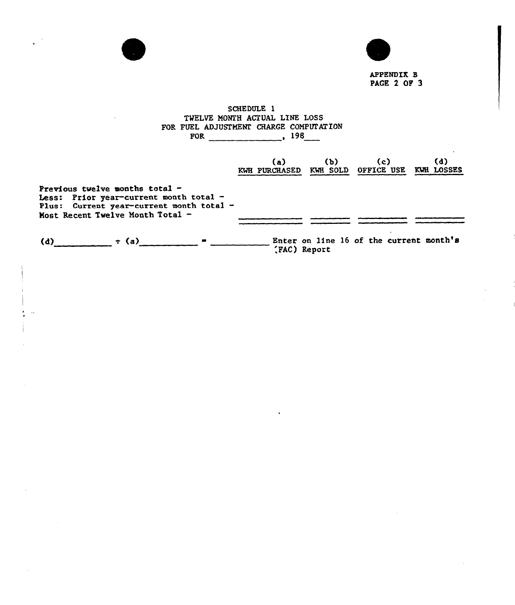



APPENDIX 8 PAGE 2 OF 3

## SCHEDULE 1 TWELVE MONTH ACTUAL LINE LOSS FOR FUEL ADJUSTHENI CHARGE CORPORATION FOR 198

|                                                                                                                                                          | (a)<br>KWH PURCHASED KWH SOLD OFFICE USE | (b)          | (c)                                     | (d)<br>KWH LOSSES |
|----------------------------------------------------------------------------------------------------------------------------------------------------------|------------------------------------------|--------------|-----------------------------------------|-------------------|
| Previous twelve months total -<br>Less: Prior year-current month total -<br>Plus: Current year-current month total -<br>Most Recent Twelve Month Total - |                                          |              |                                         |                   |
| $\tau$ (a)<br>(d)                                                                                                                                        |                                          | (FAC) Report | Enter on line 16 of the current month's |                   |